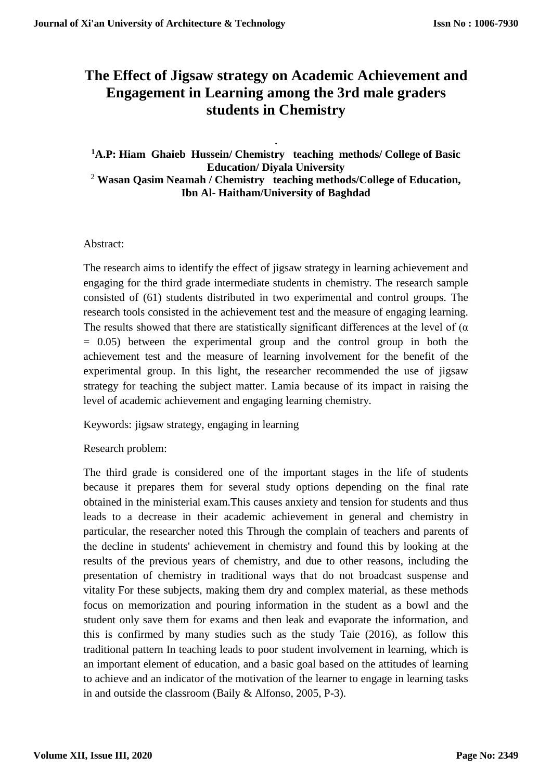# **The Effect of Jigsaw strategy on Academic Achievement and Engagement in Learning among the 3rd male graders students in Chemistry**

. **<sup>1</sup>A.P: Hiam Ghaieb Hussein/ Chemistry teaching methods/ College of Basic Education/ Diyala University** <sup>2</sup> **Wasan Qasim Neamah / Chemistry teaching methods/College of Education, Ibn Al- Haitham/University of Baghdad**

## Abstract:

The research aims to identify the effect of jigsaw strategy in learning achievement and engaging for the third grade intermediate students in chemistry. The research sample consisted of (61) students distributed in two experimental and control groups. The research tools consisted in the achievement test and the measure of engaging learning. The results showed that there are statistically significant differences at the level of  $(\alpha)$  $= 0.05$ ) between the experimental group and the control group in both the achievement test and the measure of learning involvement for the benefit of the experimental group. In this light, the researcher recommended the use of jigsaw strategy for teaching the subject matter. Lamia because of its impact in raising the level of academic achievement and engaging learning chemistry.

Keywords: jigsaw strategy, engaging in learning

Research problem:

The third grade is considered one of the important stages in the life of students because it prepares them for several study options depending on the final rate obtained in the ministerial exam.This causes anxiety and tension for students and thus leads to a decrease in their academic achievement in general and chemistry in particular, the researcher noted this Through the complain of teachers and parents of the decline in students' achievement in chemistry and found this by looking at the results of the previous years of chemistry, and due to other reasons, including the presentation of chemistry in traditional ways that do not broadcast suspense and vitality For these subjects, making them dry and complex material, as these methods focus on memorization and pouring information in the student as a bowl and the student only save them for exams and then leak and evaporate the information, and this is confirmed by many studies such as the study Taie (2016), as follow this traditional pattern In teaching leads to poor student involvement in learning, which is an important element of education, and a basic goal based on the attitudes of learning to achieve and an indicator of the motivation of the learner to engage in learning tasks in and outside the classroom (Baily & Alfonso, 2005, P-3).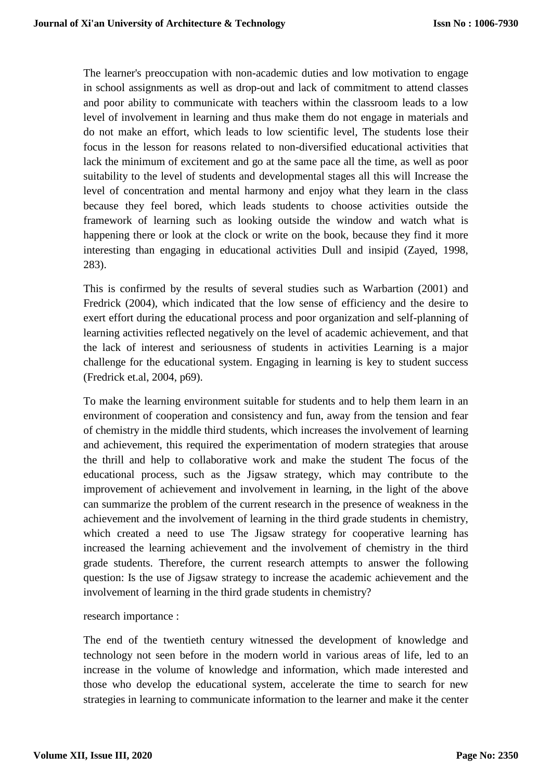The learner's preoccupation with non-academic duties and low motivation to engage in school assignments as well as drop-out and lack of commitment to attend classes and poor ability to communicate with teachers within the classroom leads to a low level of involvement in learning and thus make them do not engage in materials and do not make an effort, which leads to low scientific level, The students lose their focus in the lesson for reasons related to non-diversified educational activities that lack the minimum of excitement and go at the same pace all the time, as well as poor suitability to the level of students and developmental stages all this will Increase the level of concentration and mental harmony and enjoy what they learn in the class because they feel bored, which leads students to choose activities outside the framework of learning such as looking outside the window and watch what is happening there or look at the clock or write on the book, because they find it more interesting than engaging in educational activities Dull and insipid (Zayed, 1998, 283).

This is confirmed by the results of several studies such as Warbartion (2001) and Fredrick (2004), which indicated that the low sense of efficiency and the desire to exert effort during the educational process and poor organization and self-planning of learning activities reflected negatively on the level of academic achievement, and that the lack of interest and seriousness of students in activities Learning is a major challenge for the educational system. Engaging in learning is key to student success (Fredrick et.al, 2004, p69).

To make the learning environment suitable for students and to help them learn in an environment of cooperation and consistency and fun, away from the tension and fear of chemistry in the middle third students, which increases the involvement of learning and achievement, this required the experimentation of modern strategies that arouse the thrill and help to collaborative work and make the student The focus of the educational process, such as the Jigsaw strategy, which may contribute to the improvement of achievement and involvement in learning, in the light of the above can summarize the problem of the current research in the presence of weakness in the achievement and the involvement of learning in the third grade students in chemistry, which created a need to use The Jigsaw strategy for cooperative learning has increased the learning achievement and the involvement of chemistry in the third grade students. Therefore, the current research attempts to answer the following question: Is the use of Jigsaw strategy to increase the academic achievement and the involvement of learning in the third grade students in chemistry?

research importance :

The end of the twentieth century witnessed the development of knowledge and technology not seen before in the modern world in various areas of life, led to an increase in the volume of knowledge and information, which made interested and those who develop the educational system, accelerate the time to search for new strategies in learning to communicate information to the learner and make it the center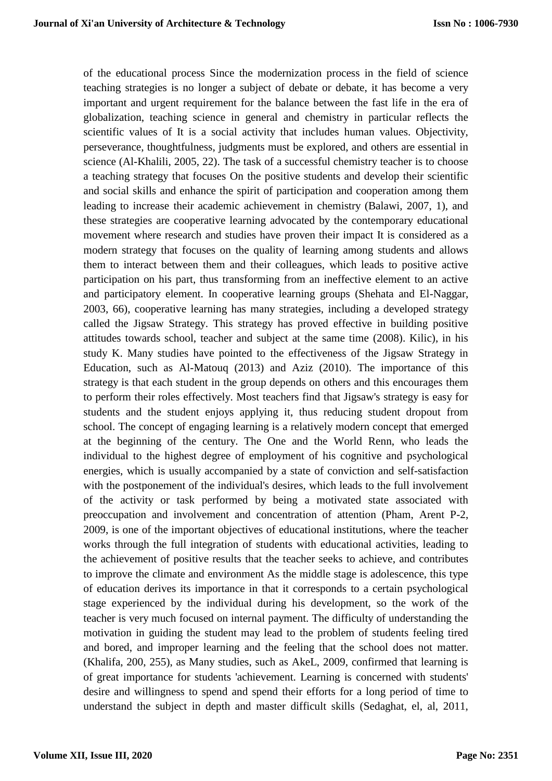of the educational process Since the modernization process in the field of science teaching strategies is no longer a subject of debate or debate, it has become a very important and urgent requirement for the balance between the fast life in the era of globalization, teaching science in general and chemistry in particular reflects the scientific values of It is a social activity that includes human values. Objectivity, perseverance, thoughtfulness, judgments must be explored, and others are essential in science (Al-Khalili, 2005, 22). The task of a successful chemistry teacher is to choose a teaching strategy that focuses On the positive students and develop their scientific and social skills and enhance the spirit of participation and cooperation among them leading to increase their academic achievement in chemistry (Balawi, 2007, 1), and these strategies are cooperative learning advocated by the contemporary educational movement where research and studies have proven their impact It is considered as a modern strategy that focuses on the quality of learning among students and allows them to interact between them and their colleagues, which leads to positive active participation on his part, thus transforming from an ineffective element to an active and participatory element. In cooperative learning groups (Shehata and El-Naggar, 2003, 66), cooperative learning has many strategies, including a developed strategy called the Jigsaw Strategy. This strategy has proved effective in building positive attitudes towards school, teacher and subject at the same time (2008). Kilic), in his study K. Many studies have pointed to the effectiveness of the Jigsaw Strategy in Education, such as Al-Matouq (2013) and Aziz (2010). The importance of this strategy is that each student in the group depends on others and this encourages them to perform their roles effectively. Most teachers find that Jigsaw's strategy is easy for students and the student enjoys applying it, thus reducing student dropout from school. The concept of engaging learning is a relatively modern concept that emerged at the beginning of the century. The One and the World Renn, who leads the individual to the highest degree of employment of his cognitive and psychological energies, which is usually accompanied by a state of conviction and self-satisfaction with the postponement of the individual's desires, which leads to the full involvement of the activity or task performed by being a motivated state associated with preoccupation and involvement and concentration of attention (Pham, Arent P-2, 2009, is one of the important objectives of educational institutions, where the teacher works through the full integration of students with educational activities, leading to the achievement of positive results that the teacher seeks to achieve, and contributes to improve the climate and environment As the middle stage is adolescence, this type of education derives its importance in that it corresponds to a certain psychological stage experienced by the individual during his development, so the work of the teacher is very much focused on internal payment. The difficulty of understanding the motivation in guiding the student may lead to the problem of students feeling tired and bored, and improper learning and the feeling that the school does not matter. (Khalifa, 200, 255), as Many studies, such as AkeL, 2009, confirmed that learning is of great importance for students 'achievement. Learning is concerned with students' desire and willingness to spend and spend their efforts for a long period of time to understand the subject in depth and master difficult skills (Sedaghat, el, al, 2011,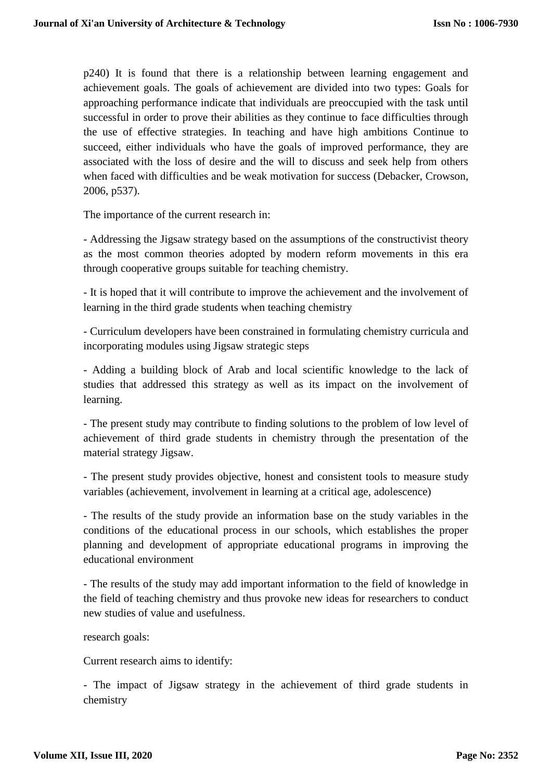p240) It is found that there is a relationship between learning engagement and achievement goals. The goals of achievement are divided into two types: Goals for approaching performance indicate that individuals are preoccupied with the task until successful in order to prove their abilities as they continue to face difficulties through the use of effective strategies. In teaching and have high ambitions Continue to succeed, either individuals who have the goals of improved performance, they are associated with the loss of desire and the will to discuss and seek help from others when faced with difficulties and be weak motivation for success (Debacker, Crowson, 2006, p537).

The importance of the current research in:

- Addressing the Jigsaw strategy based on the assumptions of the constructivist theory as the most common theories adopted by modern reform movements in this era through cooperative groups suitable for teaching chemistry.

- It is hoped that it will contribute to improve the achievement and the involvement of learning in the third grade students when teaching chemistry

- Curriculum developers have been constrained in formulating chemistry curricula and incorporating modules using Jigsaw strategic steps

- Adding a building block of Arab and local scientific knowledge to the lack of studies that addressed this strategy as well as its impact on the involvement of learning.

- The present study may contribute to finding solutions to the problem of low level of achievement of third grade students in chemistry through the presentation of the material strategy Jigsaw.

- The present study provides objective, honest and consistent tools to measure study variables (achievement, involvement in learning at a critical age, adolescence)

- The results of the study provide an information base on the study variables in the conditions of the educational process in our schools, which establishes the proper planning and development of appropriate educational programs in improving the educational environment

- The results of the study may add important information to the field of knowledge in the field of teaching chemistry and thus provoke new ideas for researchers to conduct new studies of value and usefulness.

research goals:

Current research aims to identify:

- The impact of Jigsaw strategy in the achievement of third grade students in chemistry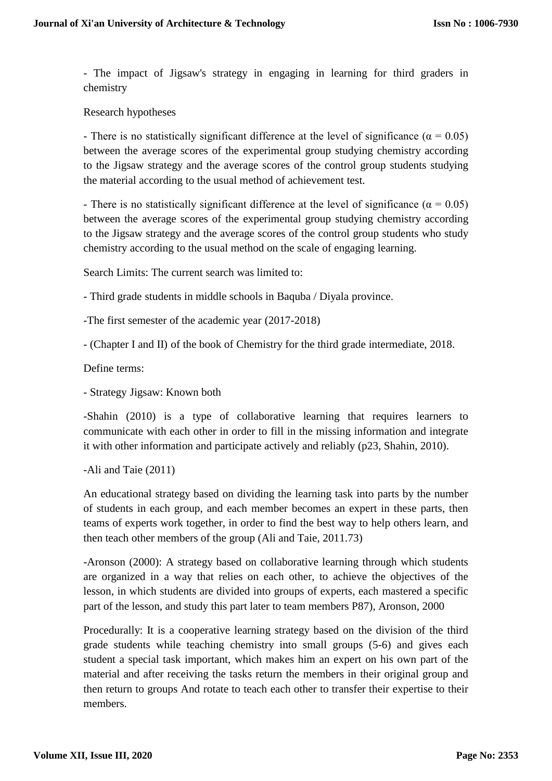- The impact of Jigsaw's strategy in engaging in learning for third graders in chemistry

Research hypotheses

- There is no statistically significant difference at the level of significance ( $\alpha = 0.05$ ) between the average scores of the experimental group studying chemistry according to the Jigsaw strategy and the average scores of the control group students studying the material according to the usual method of achievement test.

- There is no statistically significant difference at the level of significance ( $\alpha = 0.05$ ) between the average scores of the experimental group studying chemistry according to the Jigsaw strategy and the average scores of the control group students who study chemistry according to the usual method on the scale of engaging learning.

Search Limits: The current search was limited to:

- Third grade students in middle schools in Baquba / Diyala province.

-The first semester of the academic year (2017-2018)

- (Chapter I and II) of the book of Chemistry for the third grade intermediate, 2018.

Define terms:

- Strategy Jigsaw: Known both

-Shahin (2010) is a type of collaborative learning that requires learners to communicate with each other in order to fill in the missing information and integrate it with other information and participate actively and reliably (p23, Shahin, 2010).

-Ali and Taie (2011)

An educational strategy based on dividing the learning task into parts by the number of students in each group, and each member becomes an expert in these parts, then teams of experts work together, in order to find the best way to help others learn, and then teach other members of the group (Ali and Taie, 2011.73)

-Aronson (2000): A strategy based on collaborative learning through which students are organized in a way that relies on each other, to achieve the objectives of the lesson, in which students are divided into groups of experts, each mastered a specific part of the lesson, and study this part later to team members P87), Aronson, 2000

Procedurally: It is a cooperative learning strategy based on the division of the third grade students while teaching chemistry into small groups (5-6) and gives each student a special task important, which makes him an expert on his own part of the material and after receiving the tasks return the members in their original group and then return to groups And rotate to teach each other to transfer their expertise to their members.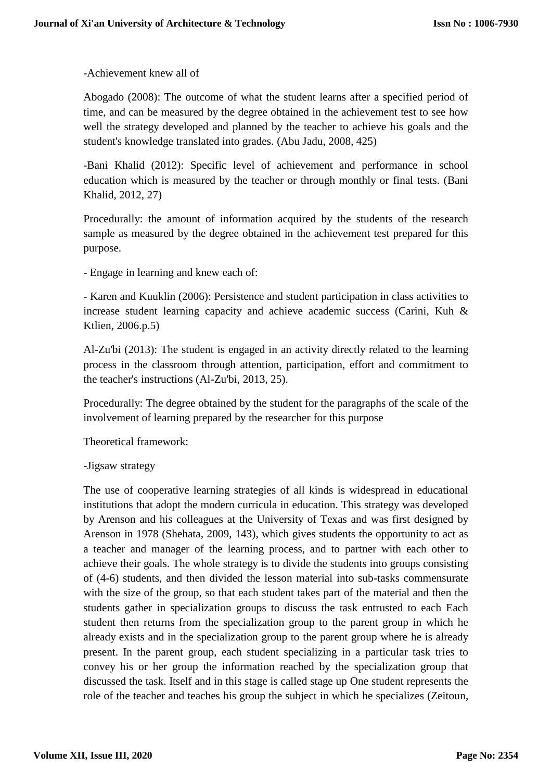-Achievement knew all of

Abogado (2008): The outcome of what the student learns after a specified period of time, and can be measured by the degree obtained in the achievement test to see how well the strategy developed and planned by the teacher to achieve his goals and the student's knowledge translated into grades. (Abu Jadu, 2008, 425)

-Bani Khalid (2012): Specific level of achievement and performance in school education which is measured by the teacher or through monthly or final tests. (Bani Khalid, 2012, 27)

Procedurally: the amount of information acquired by the students of the research sample as measured by the degree obtained in the achievement test prepared for this purpose.

- Engage in learning and knew each of:

- Karen and Kuuklin (2006): Persistence and student participation in class activities to increase student learning capacity and achieve academic success (Carini, Kuh & Ktlien, 2006.p.5)

Al-Zu'bi (2013): The student is engaged in an activity directly related to the learning process in the classroom through attention, participation, effort and commitment to the teacher's instructions (Al-Zu'bi, 2013, 25).

Procedurally: The degree obtained by the student for the paragraphs of the scale of the involvement of learning prepared by the researcher for this purpose

Theoretical framework:

-Jigsaw strategy

The use of cooperative learning strategies of all kinds is widespread in educational institutions that adopt the modern curricula in education. This strategy was developed by Arenson and his colleagues at the University of Texas and was first designed by Arenson in 1978 (Shehata, 2009, 143), which gives students the opportunity to act as a teacher and manager of the learning process, and to partner with each other to achieve their goals. The whole strategy is to divide the students into groups consisting of (4-6) students, and then divided the lesson material into sub-tasks commensurate with the size of the group, so that each student takes part of the material and then the students gather in specialization groups to discuss the task entrusted to each Each student then returns from the specialization group to the parent group in which he already exists and in the specialization group to the parent group where he is already present. In the parent group, each student specializing in a particular task tries to convey his or her group the information reached by the specialization group that discussed the task. Itself and in this stage is called stage up One student represents the role of the teacher and teaches his group the subject in which he specializes (Zeitoun,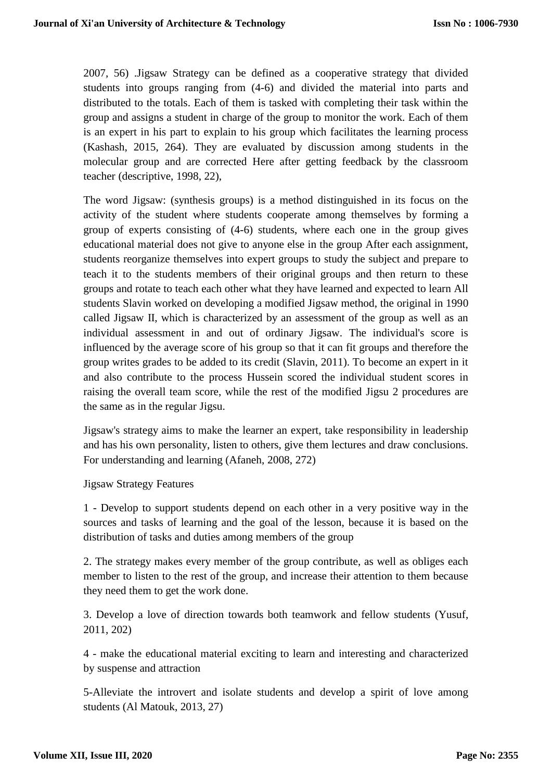2007, 56) .Jigsaw Strategy can be defined as a cooperative strategy that divided students into groups ranging from (4-6) and divided the material into parts and distributed to the totals. Each of them is tasked with completing their task within the group and assigns a student in charge of the group to monitor the work. Each of them is an expert in his part to explain to his group which facilitates the learning process (Kashash, 2015, 264). They are evaluated by discussion among students in the molecular group and are corrected Here after getting feedback by the classroom teacher (descriptive, 1998, 22),

The word Jigsaw: (synthesis groups) is a method distinguished in its focus on the activity of the student where students cooperate among themselves by forming a group of experts consisting of (4-6) students, where each one in the group gives educational material does not give to anyone else in the group After each assignment, students reorganize themselves into expert groups to study the subject and prepare to teach it to the students members of their original groups and then return to these groups and rotate to teach each other what they have learned and expected to learn All students Slavin worked on developing a modified Jigsaw method, the original in 1990 called Jigsaw II, which is characterized by an assessment of the group as well as an individual assessment in and out of ordinary Jigsaw. The individual's score is influenced by the average score of his group so that it can fit groups and therefore the group writes grades to be added to its credit (Slavin, 2011). To become an expert in it and also contribute to the process Hussein scored the individual student scores in raising the overall team score, while the rest of the modified Jigsu 2 procedures are the same as in the regular Jigsu.

Jigsaw's strategy aims to make the learner an expert, take responsibility in leadership and has his own personality, listen to others, give them lectures and draw conclusions. For understanding and learning (Afaneh, 2008, 272)

## Jigsaw Strategy Features

1 - Develop to support students depend on each other in a very positive way in the sources and tasks of learning and the goal of the lesson, because it is based on the distribution of tasks and duties among members of the group

2. The strategy makes every member of the group contribute, as well as obliges each member to listen to the rest of the group, and increase their attention to them because they need them to get the work done.

3. Develop a love of direction towards both teamwork and fellow students (Yusuf, 2011, 202)

4 - make the educational material exciting to learn and interesting and characterized by suspense and attraction

5-Alleviate the introvert and isolate students and develop a spirit of love among students (Al Matouk, 2013, 27)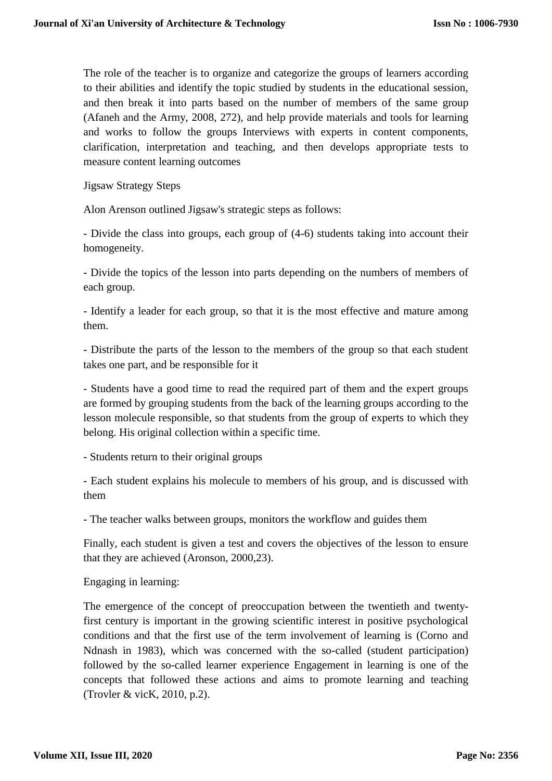The role of the teacher is to organize and categorize the groups of learners according to their abilities and identify the topic studied by students in the educational session, and then break it into parts based on the number of members of the same group (Afaneh and the Army, 2008, 272), and help provide materials and tools for learning and works to follow the groups Interviews with experts in content components, clarification, interpretation and teaching, and then develops appropriate tests to measure content learning outcomes

Jigsaw Strategy Steps

Alon Arenson outlined Jigsaw's strategic steps as follows:

- Divide the class into groups, each group of (4-6) students taking into account their homogeneity.

- Divide the topics of the lesson into parts depending on the numbers of members of each group.

- Identify a leader for each group, so that it is the most effective and mature among them.

- Distribute the parts of the lesson to the members of the group so that each student takes one part, and be responsible for it

- Students have a good time to read the required part of them and the expert groups are formed by grouping students from the back of the learning groups according to the lesson molecule responsible, so that students from the group of experts to which they belong. His original collection within a specific time.

- Students return to their original groups

- Each student explains his molecule to members of his group, and is discussed with them

- The teacher walks between groups, monitors the workflow and guides them

Finally, each student is given a test and covers the objectives of the lesson to ensure that they are achieved (Aronson, 2000,23).

Engaging in learning:

The emergence of the concept of preoccupation between the twentieth and twentyfirst century is important in the growing scientific interest in positive psychological conditions and that the first use of the term involvement of learning is (Corno and Ndnash in 1983), which was concerned with the so-called (student participation) followed by the so-called learner experience Engagement in learning is one of the concepts that followed these actions and aims to promote learning and teaching (Trovler & vicK, 2010, p.2).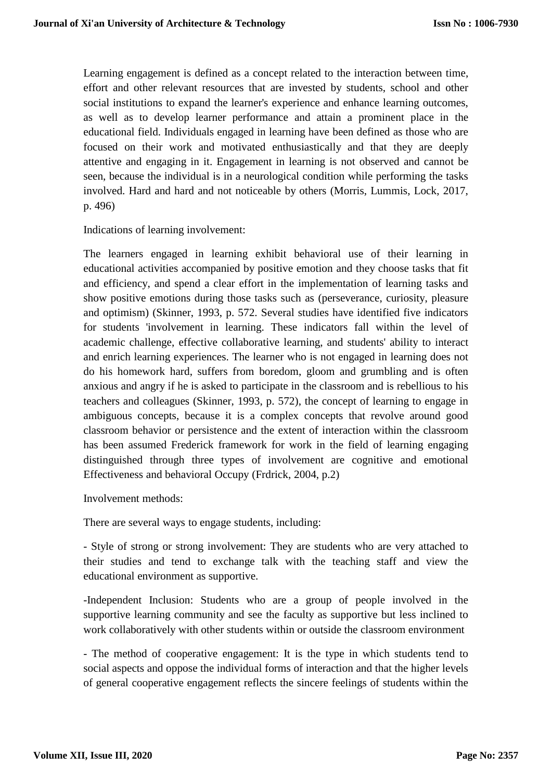Learning engagement is defined as a concept related to the interaction between time, effort and other relevant resources that are invested by students, school and other social institutions to expand the learner's experience and enhance learning outcomes, as well as to develop learner performance and attain a prominent place in the educational field. Individuals engaged in learning have been defined as those who are focused on their work and motivated enthusiastically and that they are deeply attentive and engaging in it. Engagement in learning is not observed and cannot be seen, because the individual is in a neurological condition while performing the tasks involved. Hard and hard and not noticeable by others (Morris, Lummis, Lock, 2017, p. 496)

Indications of learning involvement:

The learners engaged in learning exhibit behavioral use of their learning in educational activities accompanied by positive emotion and they choose tasks that fit and efficiency, and spend a clear effort in the implementation of learning tasks and show positive emotions during those tasks such as (perseverance, curiosity, pleasure and optimism) (Skinner, 1993, p. 572. Several studies have identified five indicators for students 'involvement in learning. These indicators fall within the level of academic challenge, effective collaborative learning, and students' ability to interact and enrich learning experiences. The learner who is not engaged in learning does not do his homework hard, suffers from boredom, gloom and grumbling and is often anxious and angry if he is asked to participate in the classroom and is rebellious to his teachers and colleagues (Skinner, 1993, p. 572), the concept of learning to engage in ambiguous concepts, because it is a complex concepts that revolve around good classroom behavior or persistence and the extent of interaction within the classroom has been assumed Frederick framework for work in the field of learning engaging distinguished through three types of involvement are cognitive and emotional Effectiveness and behavioral Occupy (Frdrick, 2004, p.2)

Involvement methods:

There are several ways to engage students, including:

- Style of strong or strong involvement: They are students who are very attached to their studies and tend to exchange talk with the teaching staff and view the educational environment as supportive.

-Independent Inclusion: Students who are a group of people involved in the supportive learning community and see the faculty as supportive but less inclined to work collaboratively with other students within or outside the classroom environment

- The method of cooperative engagement: It is the type in which students tend to social aspects and oppose the individual forms of interaction and that the higher levels of general cooperative engagement reflects the sincere feelings of students within the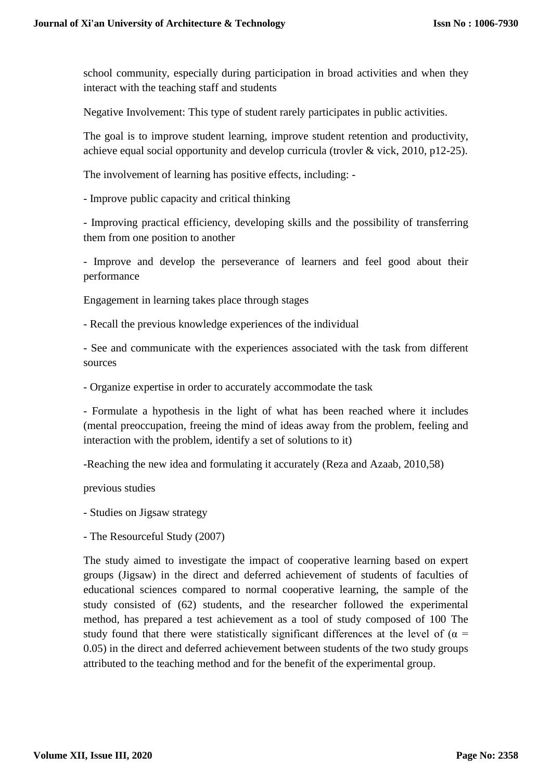school community, especially during participation in broad activities and when they interact with the teaching staff and students

Negative Involvement: This type of student rarely participates in public activities.

The goal is to improve student learning, improve student retention and productivity, achieve equal social opportunity and develop curricula (trovler & vick, 2010, p12-25).

The involvement of learning has positive effects, including: -

- Improve public capacity and critical thinking

- Improving practical efficiency, developing skills and the possibility of transferring them from one position to another

- Improve and develop the perseverance of learners and feel good about their performance

Engagement in learning takes place through stages

- Recall the previous knowledge experiences of the individual

- See and communicate with the experiences associated with the task from different sources

- Organize expertise in order to accurately accommodate the task

- Formulate a hypothesis in the light of what has been reached where it includes (mental preoccupation, freeing the mind of ideas away from the problem, feeling and interaction with the problem, identify a set of solutions to it)

-Reaching the new idea and formulating it accurately (Reza and Azaab, 2010,58)

previous studies

- Studies on Jigsaw strategy

- The Resourceful Study (2007)

The study aimed to investigate the impact of cooperative learning based on expert groups (Jigsaw) in the direct and deferred achievement of students of faculties of educational sciences compared to normal cooperative learning, the sample of the study consisted of (62) students, and the researcher followed the experimental method, has prepared a test achievement as a tool of study composed of 100 The study found that there were statistically significant differences at the level of ( $\alpha$  = 0.05) in the direct and deferred achievement between students of the two study groups attributed to the teaching method and for the benefit of the experimental group.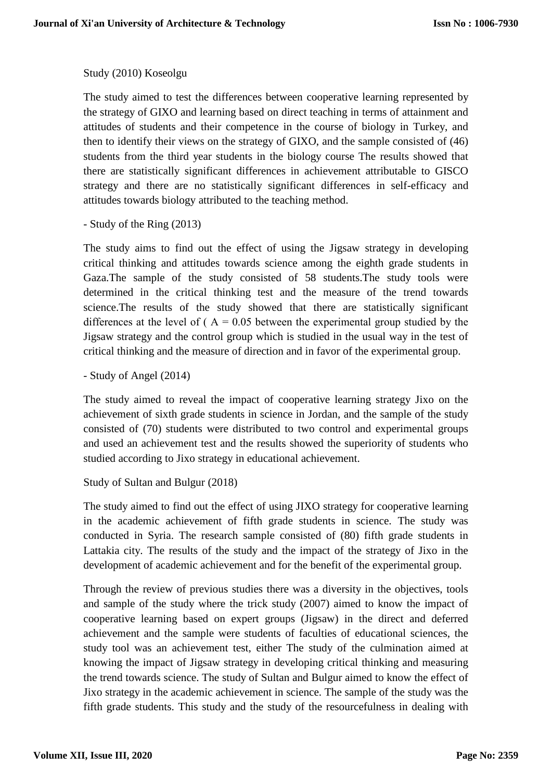# Study (2010) Koseolgu

The study aimed to test the differences between cooperative learning represented by the strategy of GIXO and learning based on direct teaching in terms of attainment and attitudes of students and their competence in the course of biology in Turkey, and then to identify their views on the strategy of GIXO, and the sample consisted of (46) students from the third year students in the biology course The results showed that there are statistically significant differences in achievement attributable to GISCO strategy and there are no statistically significant differences in self-efficacy and attitudes towards biology attributed to the teaching method.

- Study of the Ring (2013)

The study aims to find out the effect of using the Jigsaw strategy in developing critical thinking and attitudes towards science among the eighth grade students in Gaza.The sample of the study consisted of 58 students.The study tools were determined in the critical thinking test and the measure of the trend towards science.The results of the study showed that there are statistically significant differences at the level of ( $A = 0.05$  between the experimental group studied by the Jigsaw strategy and the control group which is studied in the usual way in the test of critical thinking and the measure of direction and in favor of the experimental group.

- Study of Angel (2014)

The study aimed to reveal the impact of cooperative learning strategy Jixo on the achievement of sixth grade students in science in Jordan, and the sample of the study consisted of (70) students were distributed to two control and experimental groups and used an achievement test and the results showed the superiority of students who studied according to Jixo strategy in educational achievement.

```
Study of Sultan and Bulgur (2018)
```
The study aimed to find out the effect of using JIXO strategy for cooperative learning in the academic achievement of fifth grade students in science. The study was conducted in Syria. The research sample consisted of (80) fifth grade students in Lattakia city. The results of the study and the impact of the strategy of Jixo in the development of academic achievement and for the benefit of the experimental group.

Through the review of previous studies there was a diversity in the objectives, tools and sample of the study where the trick study (2007) aimed to know the impact of cooperative learning based on expert groups (Jigsaw) in the direct and deferred achievement and the sample were students of faculties of educational sciences, the study tool was an achievement test, either The study of the culmination aimed at knowing the impact of Jigsaw strategy in developing critical thinking and measuring the trend towards science. The study of Sultan and Bulgur aimed to know the effect of Jixo strategy in the academic achievement in science. The sample of the study was the fifth grade students. This study and the study of the resourcefulness in dealing with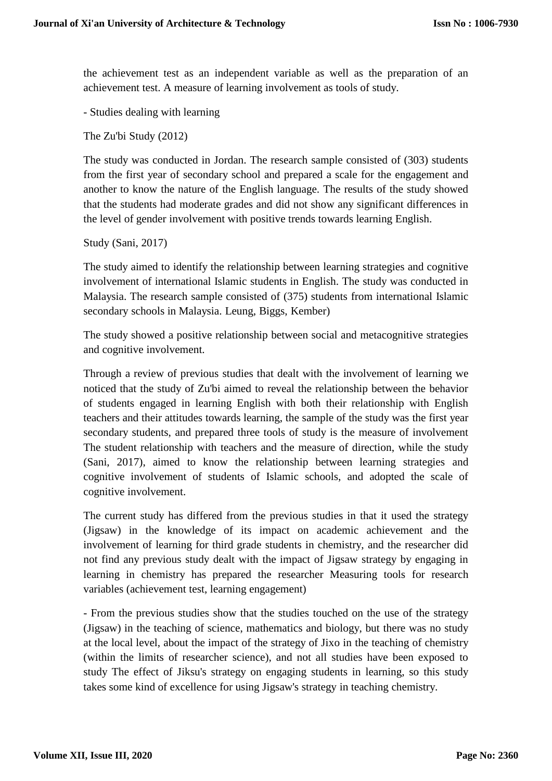the achievement test as an independent variable as well as the preparation of an achievement test. A measure of learning involvement as tools of study.

- Studies dealing with learning

The Zu'bi Study (2012)

The study was conducted in Jordan. The research sample consisted of (303) students from the first year of secondary school and prepared a scale for the engagement and another to know the nature of the English language. The results of the study showed that the students had moderate grades and did not show any significant differences in the level of gender involvement with positive trends towards learning English.

Study (Sani, 2017)

The study aimed to identify the relationship between learning strategies and cognitive involvement of international Islamic students in English. The study was conducted in Malaysia. The research sample consisted of (375) students from international Islamic secondary schools in Malaysia. Leung, Biggs, Kember)

The study showed a positive relationship between social and metacognitive strategies and cognitive involvement.

Through a review of previous studies that dealt with the involvement of learning we noticed that the study of Zu'bi aimed to reveal the relationship between the behavior of students engaged in learning English with both their relationship with English teachers and their attitudes towards learning, the sample of the study was the first year secondary students, and prepared three tools of study is the measure of involvement The student relationship with teachers and the measure of direction, while the study (Sani, 2017), aimed to know the relationship between learning strategies and cognitive involvement of students of Islamic schools, and adopted the scale of cognitive involvement.

The current study has differed from the previous studies in that it used the strategy (Jigsaw) in the knowledge of its impact on academic achievement and the involvement of learning for third grade students in chemistry, and the researcher did not find any previous study dealt with the impact of Jigsaw strategy by engaging in learning in chemistry has prepared the researcher Measuring tools for research variables (achievement test, learning engagement)

- From the previous studies show that the studies touched on the use of the strategy (Jigsaw) in the teaching of science, mathematics and biology, but there was no study at the local level, about the impact of the strategy of Jixo in the teaching of chemistry (within the limits of researcher science), and not all studies have been exposed to study The effect of Jiksu's strategy on engaging students in learning, so this study takes some kind of excellence for using Jigsaw's strategy in teaching chemistry.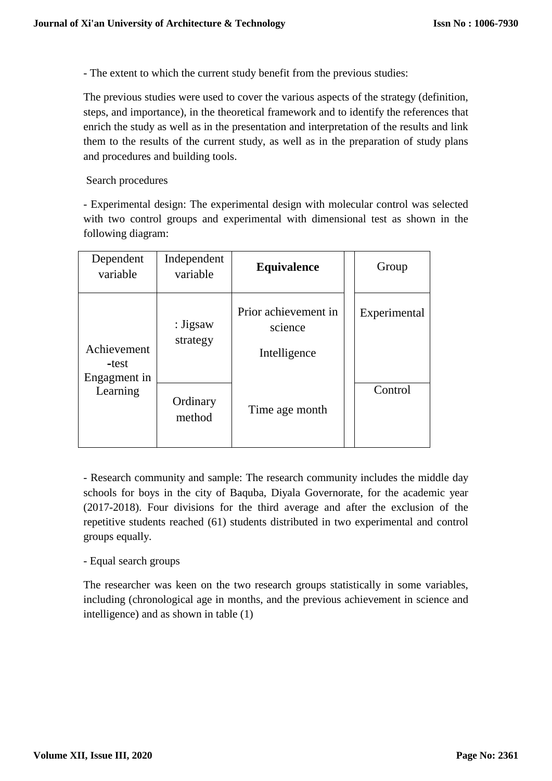- The extent to which the current study benefit from the previous studies:

The previous studies were used to cover the various aspects of the strategy (definition, steps, and importance), in the theoretical framework and to identify the references that enrich the study as well as in the presentation and interpretation of the results and link them to the results of the current study, as well as in the preparation of study plans and procedures and building tools.

# Search procedures

- Experimental design: The experimental design with molecular control was selected with two control groups and experimental with dimensional test as shown in the following diagram:

| Dependent<br>variable                | Independent<br>variable | <b>Equivalence</b>                              | Group        |
|--------------------------------------|-------------------------|-------------------------------------------------|--------------|
| Achievement<br>-test<br>Engagment in | : Jigsaw<br>strategy    | Prior achievement in<br>science<br>Intelligence | Experimental |
| Learning                             | Ordinary<br>method      | Time age month                                  | Control      |

- Research community and sample: The research community includes the middle day schools for boys in the city of Baquba, Diyala Governorate, for the academic year (2017-2018). Four divisions for the third average and after the exclusion of the repetitive students reached (61) students distributed in two experimental and control groups equally.

# - Equal search groups

The researcher was keen on the two research groups statistically in some variables, including (chronological age in months, and the previous achievement in science and intelligence) and as shown in table (1)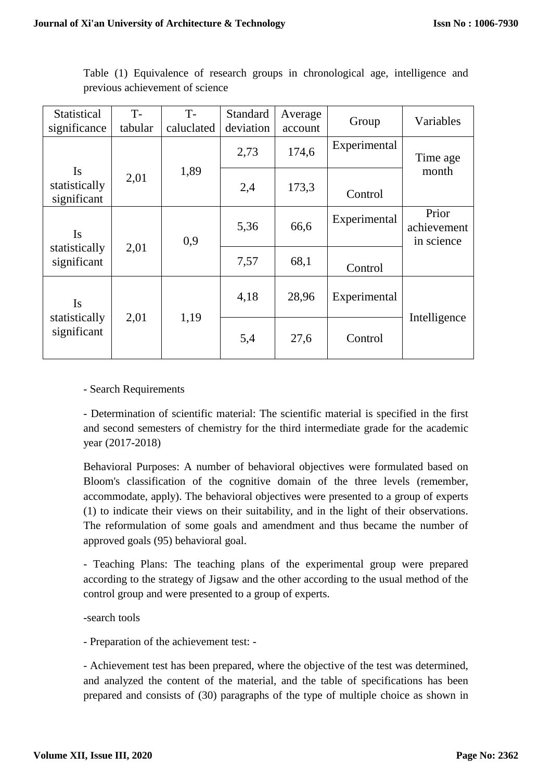| Statistical                          | $T -$<br>tabular | $T-$<br>caluclated | Standard<br>deviation | Average | Group        | Variables                          |
|--------------------------------------|------------------|--------------------|-----------------------|---------|--------------|------------------------------------|
| significance                         |                  |                    |                       | account |              |                                    |
|                                      |                  |                    | 2,73                  | 174,6   | Experimental | Time age                           |
| Is                                   | 2,01             | 1,89               |                       |         |              | month                              |
| statistically<br>significant         |                  |                    | 2,4                   | 173,3   | Control      |                                    |
| Is                                   |                  | 0,9                | 5,36                  | 66,6    | Experimental | Prior<br>achievement<br>in science |
| 2,01<br>statistically<br>significant |                  | 7,57               | 68,1                  | Control |              |                                    |
| Is                                   |                  | 1,19               | 4,18                  | 28,96   | Experimental |                                    |
| statistically<br>significant         | 2,01             |                    | 5,4                   | 27,6    | Control      | Intelligence                       |

Table (1) Equivalence of research groups in chronological age, intelligence and previous achievement of science

- Search Requirements

- Determination of scientific material: The scientific material is specified in the first and second semesters of chemistry for the third intermediate grade for the academic year (2017-2018)

Behavioral Purposes: A number of behavioral objectives were formulated based on Bloom's classification of the cognitive domain of the three levels (remember, accommodate, apply). The behavioral objectives were presented to a group of experts (1) to indicate their views on their suitability, and in the light of their observations. The reformulation of some goals and amendment and thus became the number of approved goals (95) behavioral goal.

- Teaching Plans: The teaching plans of the experimental group were prepared according to the strategy of Jigsaw and the other according to the usual method of the control group and were presented to a group of experts.

-search tools

- Preparation of the achievement test: -

- Achievement test has been prepared, where the objective of the test was determined, and analyzed the content of the material, and the table of specifications has been prepared and consists of (30) paragraphs of the type of multiple choice as shown in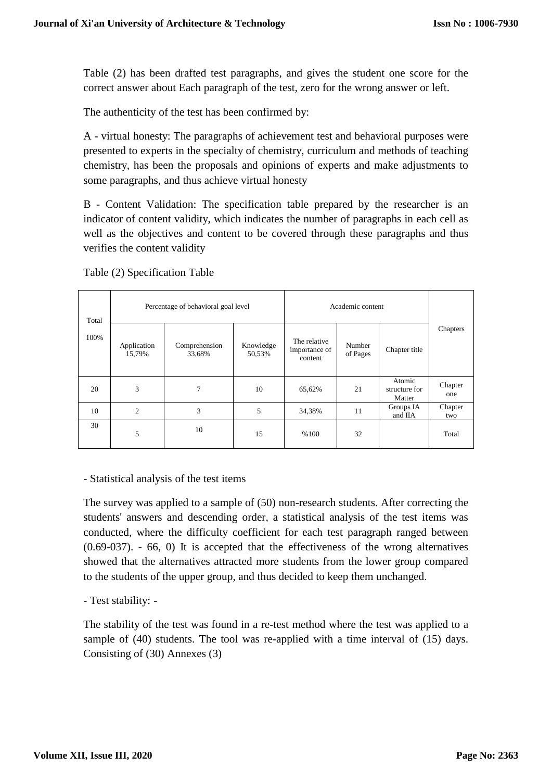Table (2) has been drafted test paragraphs, and gives the student one score for the correct answer about Each paragraph of the test, zero for the wrong answer or left.

The authenticity of the test has been confirmed by:

A - virtual honesty: The paragraphs of achievement test and behavioral purposes were presented to experts in the specialty of chemistry, curriculum and methods of teaching chemistry, has been the proposals and opinions of experts and make adjustments to some paragraphs, and thus achieve virtual honesty

B - Content Validation: The specification table prepared by the researcher is an indicator of content validity, which indicates the number of paragraphs in each cell as well as the objectives and content to be covered through these paragraphs and thus verifies the content validity

| Total | Percentage of behavioral goal level |                         |                     | Academic content                         |                    |                                   |                |
|-------|-------------------------------------|-------------------------|---------------------|------------------------------------------|--------------------|-----------------------------------|----------------|
| 100%  | Application<br>15,79%               | Comprehension<br>33,68% | Knowledge<br>50,53% | The relative<br>importance of<br>content | Number<br>of Pages | Chapter title                     | Chapters       |
| 20    | 3                                   | $\overline{7}$          | 10                  | 65,62%                                   | 21                 | Atomic<br>structure for<br>Matter | Chapter<br>one |
| 10    | $\overline{c}$                      | 3                       | 5                   | 34,38%                                   | 11                 | Groups IA<br>and IIA              | Chapter<br>two |
| 30    | 5                                   | 10                      | 15                  | %100                                     | 32                 |                                   | Total          |

Table (2) Specification Table

## - Statistical analysis of the test items

The survey was applied to a sample of (50) non-research students. After correcting the students' answers and descending order, a statistical analysis of the test items was conducted, where the difficulty coefficient for each test paragraph ranged between (0.69-037). - 66, 0) It is accepted that the effectiveness of the wrong alternatives showed that the alternatives attracted more students from the lower group compared to the students of the upper group, and thus decided to keep them unchanged.

## - Test stability: -

The stability of the test was found in a re-test method where the test was applied to a sample of (40) students. The tool was re-applied with a time interval of (15) days. Consisting of (30) Annexes (3)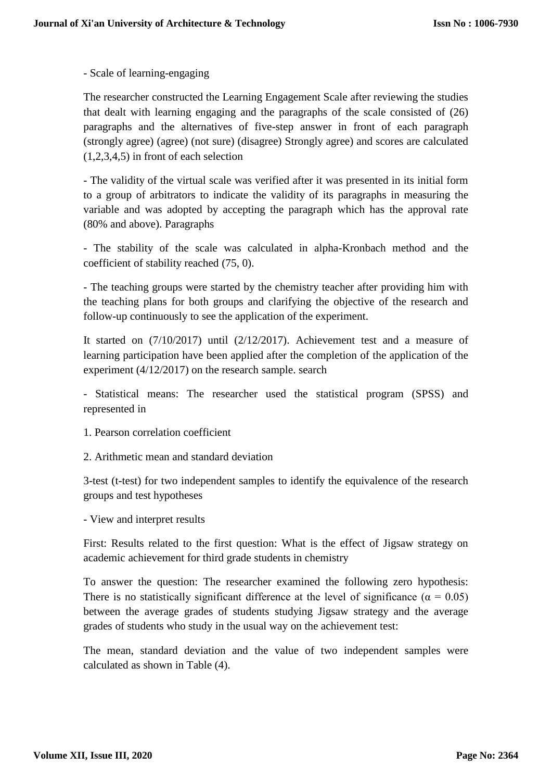- Scale of learning-engaging

The researcher constructed the Learning Engagement Scale after reviewing the studies that dealt with learning engaging and the paragraphs of the scale consisted of (26) paragraphs and the alternatives of five-step answer in front of each paragraph (strongly agree) (agree) (not sure) (disagree) Strongly agree) and scores are calculated (1,2,3,4,5) in front of each selection

- The validity of the virtual scale was verified after it was presented in its initial form to a group of arbitrators to indicate the validity of its paragraphs in measuring the variable and was adopted by accepting the paragraph which has the approval rate (80% and above). Paragraphs

- The stability of the scale was calculated in alpha-Kronbach method and the coefficient of stability reached (75, 0).

- The teaching groups were started by the chemistry teacher after providing him with the teaching plans for both groups and clarifying the objective of the research and follow-up continuously to see the application of the experiment.

It started on (7/10/2017) until (2/12/2017). Achievement test and a measure of learning participation have been applied after the completion of the application of the experiment (4/12/2017) on the research sample. search

- Statistical means: The researcher used the statistical program (SPSS) and represented in

- 1. Pearson correlation coefficient
- 2. Arithmetic mean and standard deviation

3-test (t-test) for two independent samples to identify the equivalence of the research groups and test hypotheses

- View and interpret results

First: Results related to the first question: What is the effect of Jigsaw strategy on academic achievement for third grade students in chemistry

To answer the question: The researcher examined the following zero hypothesis: There is no statistically significant difference at the level of significance ( $\alpha = 0.05$ ) between the average grades of students studying Jigsaw strategy and the average grades of students who study in the usual way on the achievement test:

The mean, standard deviation and the value of two independent samples were calculated as shown in Table (4).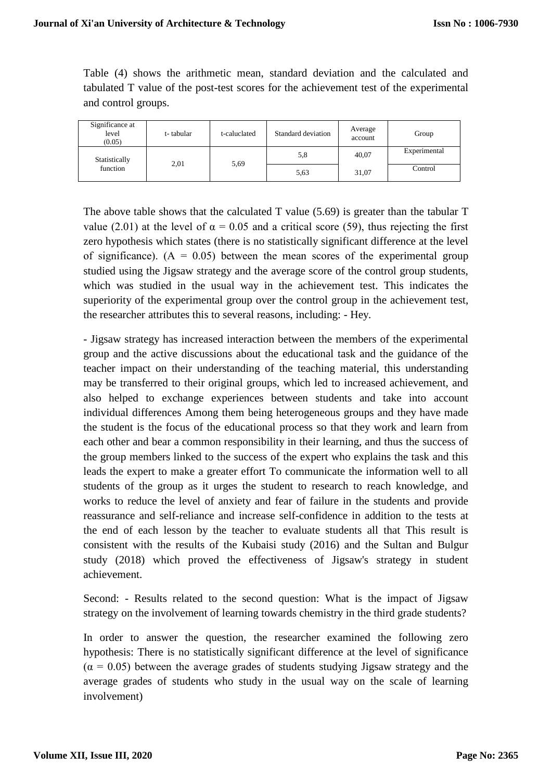Table (4) shows the arithmetic mean, standard deviation and the calculated and tabulated T value of the post-test scores for the achievement test of the experimental and control groups.

| Significance at<br>level<br>(0.05) | t-tabular | t-caluclated | Standard deviation | Average<br>account | Group        |
|------------------------------------|-----------|--------------|--------------------|--------------------|--------------|
| Statistically<br>function          | 2,01      | 5,69         | 5,8                | 40,07              | Experimental |
|                                    |           |              | 5,63               | 31,07              | Control      |

The above table shows that the calculated T value (5.69) is greater than the tabular T value (2.01) at the level of  $\alpha = 0.05$  and a critical score (59), thus rejecting the first zero hypothesis which states (there is no statistically significant difference at the level of significance).  $(A = 0.05)$  between the mean scores of the experimental group studied using the Jigsaw strategy and the average score of the control group students, which was studied in the usual way in the achievement test. This indicates the superiority of the experimental group over the control group in the achievement test, the researcher attributes this to several reasons, including: - Hey.

- Jigsaw strategy has increased interaction between the members of the experimental group and the active discussions about the educational task and the guidance of the teacher impact on their understanding of the teaching material, this understanding may be transferred to their original groups, which led to increased achievement, and also helped to exchange experiences between students and take into account individual differences Among them being heterogeneous groups and they have made the student is the focus of the educational process so that they work and learn from each other and bear a common responsibility in their learning, and thus the success of the group members linked to the success of the expert who explains the task and this leads the expert to make a greater effort To communicate the information well to all students of the group as it urges the student to research to reach knowledge, and works to reduce the level of anxiety and fear of failure in the students and provide reassurance and self-reliance and increase self-confidence in addition to the tests at the end of each lesson by the teacher to evaluate students all that This result is consistent with the results of the Kubaisi study (2016) and the Sultan and Bulgur study (2018) which proved the effectiveness of Jigsaw's strategy in student achievement.

Second: - Results related to the second question: What is the impact of Jigsaw strategy on the involvement of learning towards chemistry in the third grade students?

In order to answer the question, the researcher examined the following zero hypothesis: There is no statistically significant difference at the level of significance  $(\alpha = 0.05)$  between the average grades of students studying Jigsaw strategy and the average grades of students who study in the usual way on the scale of learning involvement)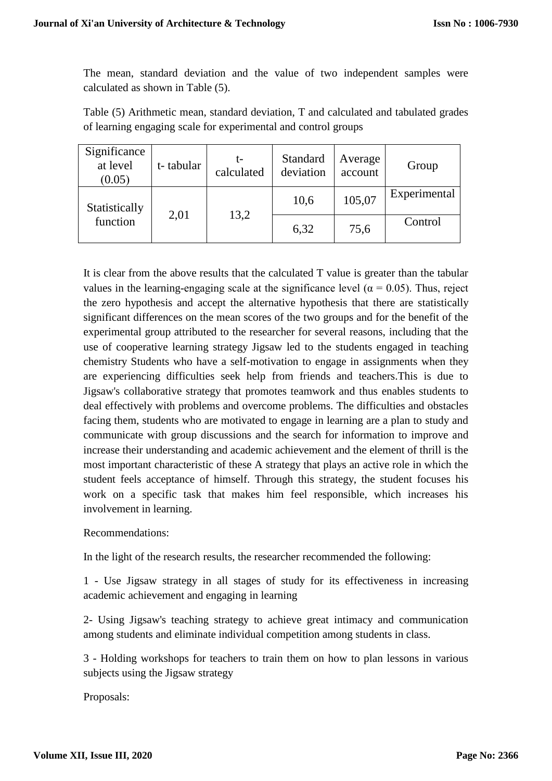The mean, standard deviation and the value of two independent samples were calculated as shown in Table (5).

Table (5) Arithmetic mean, standard deviation, T and calculated and tabulated grades of learning engaging scale for experimental and control groups

| Significance<br>at level<br>(0.05) | t-tabular | calculated | Standard<br>deviation | Average<br>account | Group        |
|------------------------------------|-----------|------------|-----------------------|--------------------|--------------|
| Statistically<br>function          | 2,01      | 13,2       | 10,6                  | 105,07             | Experimental |
|                                    |           |            | 6,32                  | 75,6               | Control      |

It is clear from the above results that the calculated T value is greater than the tabular values in the learning-engaging scale at the significance level ( $\alpha = 0.05$ ). Thus, reject the zero hypothesis and accept the alternative hypothesis that there are statistically significant differences on the mean scores of the two groups and for the benefit of the experimental group attributed to the researcher for several reasons, including that the use of cooperative learning strategy Jigsaw led to the students engaged in teaching chemistry Students who have a self-motivation to engage in assignments when they are experiencing difficulties seek help from friends and teachers.This is due to Jigsaw's collaborative strategy that promotes teamwork and thus enables students to deal effectively with problems and overcome problems. The difficulties and obstacles facing them, students who are motivated to engage in learning are a plan to study and communicate with group discussions and the search for information to improve and increase their understanding and academic achievement and the element of thrill is the most important characteristic of these A strategy that plays an active role in which the student feels acceptance of himself. Through this strategy, the student focuses his work on a specific task that makes him feel responsible, which increases his involvement in learning.

Recommendations:

In the light of the research results, the researcher recommended the following:

1 - Use Jigsaw strategy in all stages of study for its effectiveness in increasing academic achievement and engaging in learning

2- Using Jigsaw's teaching strategy to achieve great intimacy and communication among students and eliminate individual competition among students in class.

3 - Holding workshops for teachers to train them on how to plan lessons in various subjects using the Jigsaw strategy

Proposals: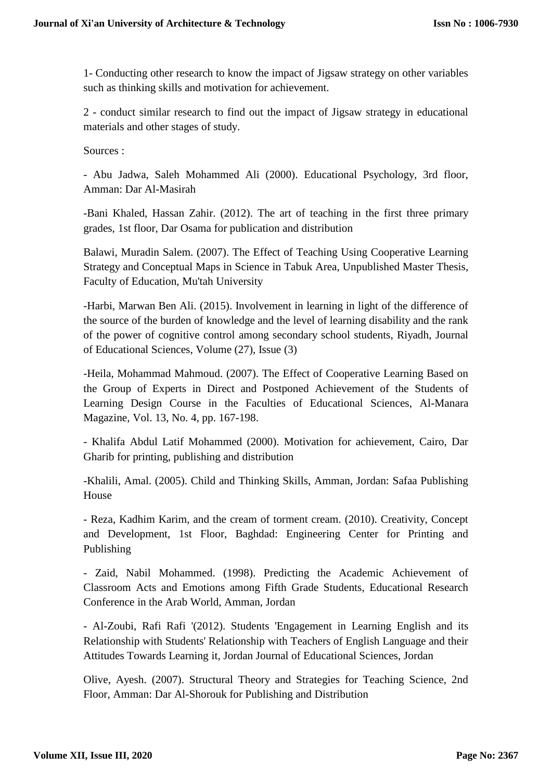1- Conducting other research to know the impact of Jigsaw strategy on other variables such as thinking skills and motivation for achievement.

2 - conduct similar research to find out the impact of Jigsaw strategy in educational materials and other stages of study.

Sources :

- Abu Jadwa, Saleh Mohammed Ali (2000). Educational Psychology, 3rd floor, Amman: Dar Al-Masirah

-Bani Khaled, Hassan Zahir. (2012). The art of teaching in the first three primary grades, 1st floor, Dar Osama for publication and distribution

Balawi, Muradin Salem. (2007). The Effect of Teaching Using Cooperative Learning Strategy and Conceptual Maps in Science in Tabuk Area, Unpublished Master Thesis, Faculty of Education, Mu'tah University

-Harbi, Marwan Ben Ali. (2015). Involvement in learning in light of the difference of the source of the burden of knowledge and the level of learning disability and the rank of the power of cognitive control among secondary school students, Riyadh, Journal of Educational Sciences, Volume (27), Issue (3)

-Heila, Mohammad Mahmoud. (2007). The Effect of Cooperative Learning Based on the Group of Experts in Direct and Postponed Achievement of the Students of Learning Design Course in the Faculties of Educational Sciences, Al-Manara Magazine, Vol. 13, No. 4, pp. 167-198.

- Khalifa Abdul Latif Mohammed (2000). Motivation for achievement, Cairo, Dar Gharib for printing, publishing and distribution

-Khalili, Amal. (2005). Child and Thinking Skills, Amman, Jordan: Safaa Publishing House

- Reza, Kadhim Karim, and the cream of torment cream. (2010). Creativity, Concept and Development, 1st Floor, Baghdad: Engineering Center for Printing and Publishing

- Zaid, Nabil Mohammed. (1998). Predicting the Academic Achievement of Classroom Acts and Emotions among Fifth Grade Students, Educational Research Conference in the Arab World, Amman, Jordan

- Al-Zoubi, Rafi Rafi '(2012). Students 'Engagement in Learning English and its Relationship with Students' Relationship with Teachers of English Language and their Attitudes Towards Learning it, Jordan Journal of Educational Sciences, Jordan

Olive, Ayesh. (2007). Structural Theory and Strategies for Teaching Science, 2nd Floor, Amman: Dar Al-Shorouk for Publishing and Distribution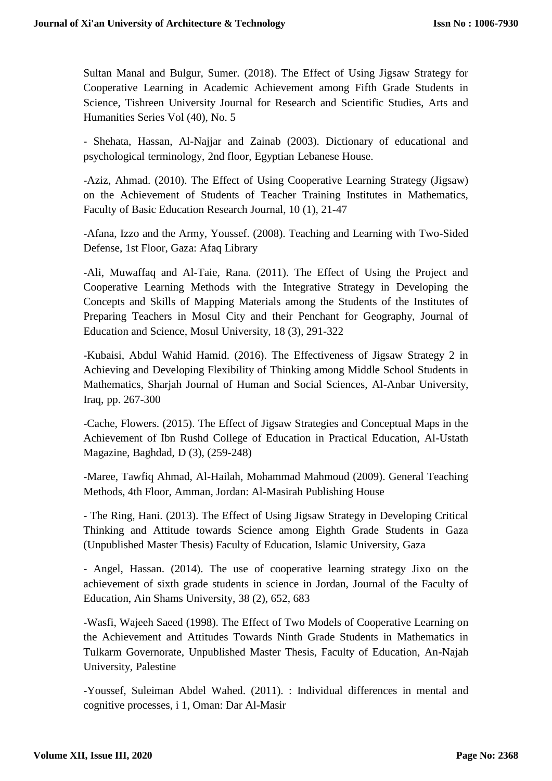Sultan Manal and Bulgur, Sumer. (2018). The Effect of Using Jigsaw Strategy for Cooperative Learning in Academic Achievement among Fifth Grade Students in Science, Tishreen University Journal for Research and Scientific Studies, Arts and Humanities Series Vol (40), No. 5

- Shehata, Hassan, Al-Najjar and Zainab (2003). Dictionary of educational and psychological terminology, 2nd floor, Egyptian Lebanese House.

-Aziz, Ahmad. (2010). The Effect of Using Cooperative Learning Strategy (Jigsaw) on the Achievement of Students of Teacher Training Institutes in Mathematics, Faculty of Basic Education Research Journal, 10 (1), 21-47

-Afana, Izzo and the Army, Youssef. (2008). Teaching and Learning with Two-Sided Defense, 1st Floor, Gaza: Afaq Library

-Ali, Muwaffaq and Al-Taie, Rana. (2011). The Effect of Using the Project and Cooperative Learning Methods with the Integrative Strategy in Developing the Concepts and Skills of Mapping Materials among the Students of the Institutes of Preparing Teachers in Mosul City and their Penchant for Geography, Journal of Education and Science, Mosul University, 18 (3), 291-322

-Kubaisi, Abdul Wahid Hamid. (2016). The Effectiveness of Jigsaw Strategy 2 in Achieving and Developing Flexibility of Thinking among Middle School Students in Mathematics, Sharjah Journal of Human and Social Sciences, Al-Anbar University, Iraq, pp. 267-300

-Cache, Flowers. (2015). The Effect of Jigsaw Strategies and Conceptual Maps in the Achievement of Ibn Rushd College of Education in Practical Education, Al-Ustath Magazine, Baghdad, D (3), (259-248)

-Maree, Tawfiq Ahmad, Al-Hailah, Mohammad Mahmoud (2009). General Teaching Methods, 4th Floor, Amman, Jordan: Al-Masirah Publishing House

- The Ring, Hani. (2013). The Effect of Using Jigsaw Strategy in Developing Critical Thinking and Attitude towards Science among Eighth Grade Students in Gaza (Unpublished Master Thesis) Faculty of Education, Islamic University, Gaza

- Angel, Hassan. (2014). The use of cooperative learning strategy Jixo on the achievement of sixth grade students in science in Jordan, Journal of the Faculty of Education, Ain Shams University, 38 (2), 652, 683

-Wasfi, Wajeeh Saeed (1998). The Effect of Two Models of Cooperative Learning on the Achievement and Attitudes Towards Ninth Grade Students in Mathematics in Tulkarm Governorate, Unpublished Master Thesis, Faculty of Education, An-Najah University, Palestine

-Youssef, Suleiman Abdel Wahed. (2011). : Individual differences in mental and cognitive processes, i 1, Oman: Dar Al-Masir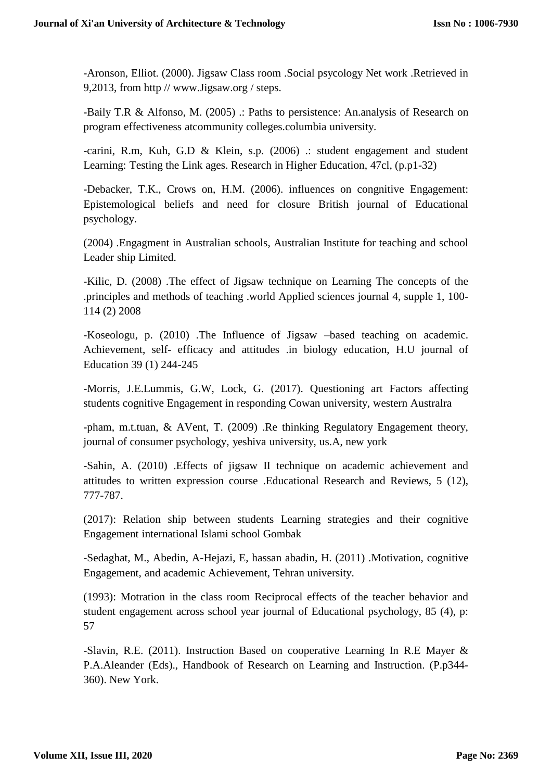-Aronson, Elliot. (2000). Jigsaw Class room .Social psycology Net work .Retrieved in 9,2013, from http // www.Jigsaw.org / steps.

-Baily T.R & Alfonso, M. (2005) .: Paths to persistence: An.analysis of Research on program effectiveness atcommunity colleges.columbia university.

-carini, R.m, Kuh, G.D & Klein, s.p. (2006) .: student engagement and student Learning: Testing the Link ages. Research in Higher Education, 47cl, (p.p1-32)

-Debacker, T.K., Crows on, H.M. (2006). influences on congnitive Engagement: Epistemological beliefs and need for closure British journal of Educational psychology.

(2004) .Engagment in Australian schools, Australian Institute for teaching and school Leader ship Limited.

-Kilic, D. (2008) .The effect of Jigsaw technique on Learning The concepts of the .principles and methods of teaching .world Applied sciences journal 4, supple 1, 100- 114 (2) 2008

-Koseologu, p. (2010) .The Influence of Jigsaw –based teaching on academic. Achievement, self- efficacy and attitudes .in biology education, H.U journal of Education 39 (1) 244-245

-Morris, J.E.Lummis, G.W, Lock, G. (2017). Questioning art Factors affecting students cognitive Engagement in responding Cowan university, western Australra

-pham, m.t.tuan, & AVent, T. (2009) .Re thinking Regulatory Engagement theory, journal of consumer psychology, yeshiva university, us.A, new york

-Sahin, A. (2010) .Effects of jigsaw II technique on academic achievement and attitudes to written expression course .Educational Research and Reviews, 5 (12), 777-787.

(2017): Relation ship between students Learning strategies and their cognitive Engagement international Islami school Gombak

-Sedaghat, M., Abedin, A-Hejazi, E, hassan abadin, H. (2011) .Motivation, cognitive Engagement, and academic Achievement, Tehran university.

(1993): Motration in the class room Reciprocal effects of the teacher behavior and student engagement across school year journal of Educational psychology, 85 (4), p: 57

-Slavin, R.E. (2011). Instruction Based on cooperative Learning In R.E Mayer & P.A.Aleander (Eds)., Handbook of Research on Learning and Instruction. (P.p344- 360). New York.